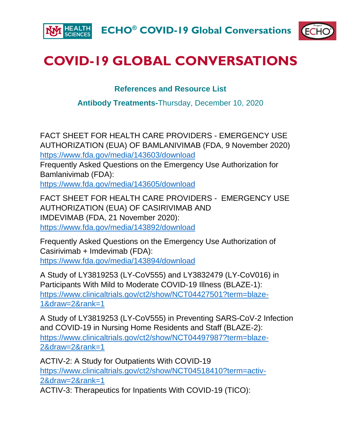



## **COVID-19 GLOBAL CONVERSATIONS**

**References and Resource List**

**Antibody Treatments-**Thursday, December 10, 2020

FACT SHEET FOR HEALTH CARE PROVIDERS - EMERGENCY USE AUTHORIZATION (EUA) OF BAMLANIVIMAB (FDA, 9 November 2020) <https://www.fda.gov/media/143603/download>

Frequently Asked Questions on the Emergency Use Authorization for Bamlanivimab (FDA):

<https://www.fda.gov/media/143605/download>

FACT SHEET FOR HEALTH CARE PROVIDERS - EMERGENCY USE AUTHORIZATION (EUA) OF CASIRIVIMAB AND IMDEVIMAB (FDA, 21 November 2020): <https://www.fda.gov/media/143892/download>

Frequently Asked Questions on the Emergency Use Authorization of Casirivimab + Imdevimab (FDA): <https://www.fda.gov/media/143894/download>

A Study of LY3819253 (LY-CoV555) and LY3832479 (LY-CoV016) in Participants With Mild to Moderate COVID-19 Illness (BLAZE-1): [https://www.clinicaltrials.gov/ct2/show/NCT04427501?term=blaze-](https://www.clinicaltrials.gov/ct2/show/NCT04427501?term=blaze-1&draw=2&rank=1)[1&draw=2&rank=1](https://www.clinicaltrials.gov/ct2/show/NCT04427501?term=blaze-1&draw=2&rank=1)

A Study of LY3819253 (LY-CoV555) in Preventing SARS-CoV-2 Infection and COVID-19 in Nursing Home Residents and Staff (BLAZE-2): [https://www.clinicaltrials.gov/ct2/show/NCT04497987?term=blaze-](https://www.clinicaltrials.gov/ct2/show/NCT04497987?term=blaze-2&draw=2&rank=1)[2&draw=2&rank=1](https://www.clinicaltrials.gov/ct2/show/NCT04497987?term=blaze-2&draw=2&rank=1)

ACTIV-2: A Study for Outpatients With COVID-19 [https://www.clinicaltrials.gov/ct2/show/NCT04518410?term=activ-](https://www.clinicaltrials.gov/ct2/show/NCT04518410?term=activ-2&draw=2&rank=1)[2&draw=2&rank=1](https://www.clinicaltrials.gov/ct2/show/NCT04518410?term=activ-2&draw=2&rank=1)

ACTIV-3: Therapeutics for Inpatients With COVID-19 (TICO):